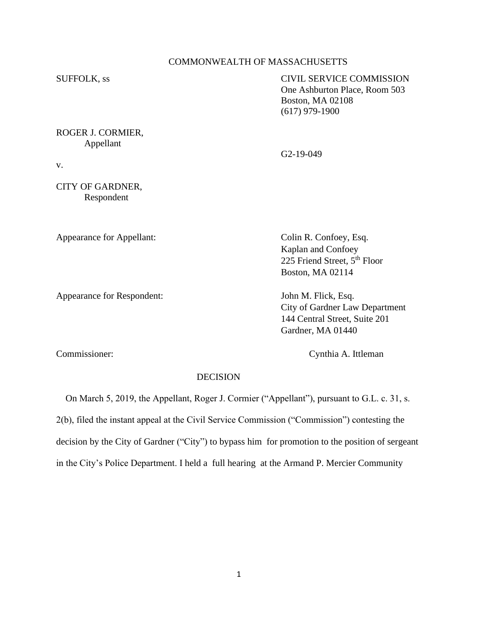# COMMONWEALTH OF MASSACHUSETTS

SUFFOLK, ss CIVIL SERVICE COMMISSION One Ashburton Place, Room 503 Boston, MA 02108 (617) 979-1900

# ROGER J. CORMIER, Appellant

G2-19-049

v.

CITY OF GARDNER, Respondent

Appearance for Appellant: Colin R. Confoey, Esq.

Appearance for Respondent: John M. Flick, Esq.

Kaplan and Confoey 225 Friend Street, 5<sup>th</sup> Floor Boston, MA 02114

City of Gardner Law Department 144 Central Street, Suite 201 Gardner, MA 01440

Commissioner: Cynthia A. Ittleman

## DECISION

On March 5, 2019, the Appellant, Roger J. Cormier ("Appellant"), pursuant to G.L. c. 31, s.

2(b), filed the instant appeal at the Civil Service Commission ("Commission") contesting the

decision by the City of Gardner ("City") to bypass him for promotion to the position of sergeant

in the City's Police Department. I held a full hearing at the Armand P. Mercier Community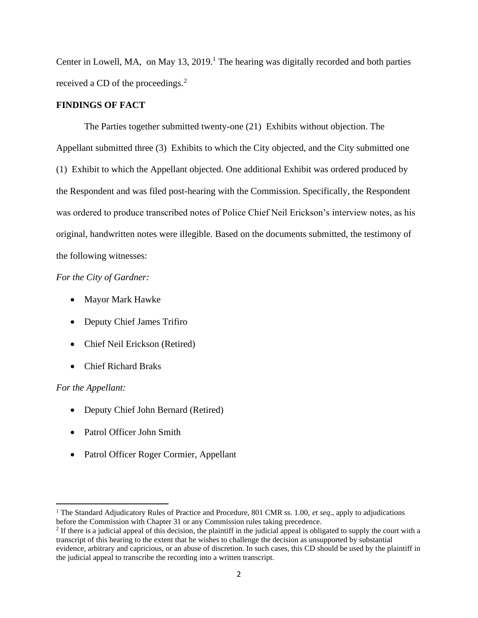Center in Lowell, MA, on May 13, 2019.<sup>1</sup> The hearing was digitally recorded and both parties received a CD of the proceedings.<sup>2</sup>

## **FINDINGS OF FACT**

The Parties together submitted twenty-one (21) Exhibits without objection. The Appellant submitted three (3) Exhibits to which the City objected, and the City submitted one (1) Exhibit to which the Appellant objected. One additional Exhibit was ordered produced by the Respondent and was filed post-hearing with the Commission. Specifically, the Respondent was ordered to produce transcribed notes of Police Chief Neil Erickson's interview notes, as his original, handwritten notes were illegible. Based on the documents submitted, the testimony of the following witnesses:

# *For the City of Gardner:*

- Mayor Mark Hawke
- Deputy Chief James Trifiro
- Chief Neil Erickson (Retired)
- Chief Richard Braks

# *For the Appellant:*

- Deputy Chief John Bernard (Retired)
- Patrol Officer John Smith
- Patrol Officer Roger Cormier, Appellant

<sup>&</sup>lt;sup>1</sup> The Standard Adjudicatory Rules of Practice and Procedure, 801 CMR ss. 1.00, *et seq.*, apply to adjudications before the Commission with Chapter 31 or any Commission rules taking precedence.

<sup>&</sup>lt;sup>2</sup> If there is a judicial appeal of this decision, the plaintiff in the judicial appeal is obligated to supply the court with a transcript of this hearing to the extent that he wishes to challenge the decision as unsupported by substantial evidence, arbitrary and capricious, or an abuse of discretion. In such cases, this CD should be used by the plaintiff in the judicial appeal to transcribe the recording into a written transcript.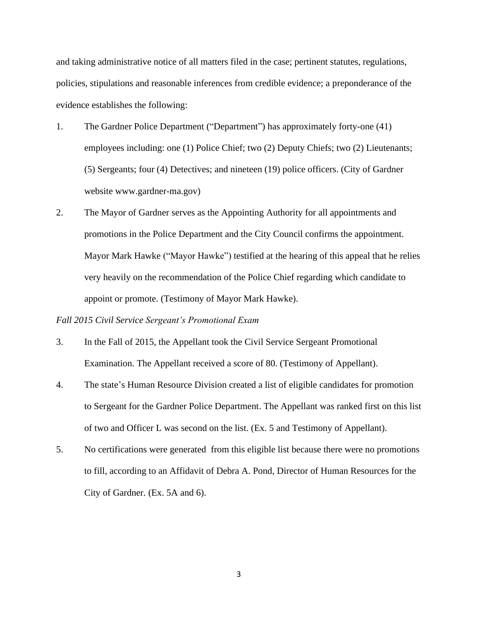and taking administrative notice of all matters filed in the case; pertinent statutes, regulations, policies, stipulations and reasonable inferences from credible evidence; a preponderance of the evidence establishes the following:

- 1. The Gardner Police Department ("Department") has approximately forty-one (41) employees including: one (1) Police Chief; two (2) Deputy Chiefs; two (2) Lieutenants; (5) Sergeants; four (4) Detectives; and nineteen (19) police officers. (City of Gardner website www.gardner-ma.gov)
- 2. The Mayor of Gardner serves as the Appointing Authority for all appointments and promotions in the Police Department and the City Council confirms the appointment. Mayor Mark Hawke ("Mayor Hawke") testified at the hearing of this appeal that he relies very heavily on the recommendation of the Police Chief regarding which candidate to appoint or promote. (Testimony of Mayor Mark Hawke).

#### *Fall 2015 Civil Service Sergeant's Promotional Exam*

- 3. In the Fall of 2015, the Appellant took the Civil Service Sergeant Promotional Examination. The Appellant received a score of 80. (Testimony of Appellant).
- 4. The state's Human Resource Division created a list of eligible candidates for promotion to Sergeant for the Gardner Police Department. The Appellant was ranked first on this list of two and Officer L was second on the list. (Ex. 5 and Testimony of Appellant).
- 5. No certifications were generated from this eligible list because there were no promotions to fill, according to an Affidavit of Debra A. Pond, Director of Human Resources for the City of Gardner. (Ex. 5A and 6).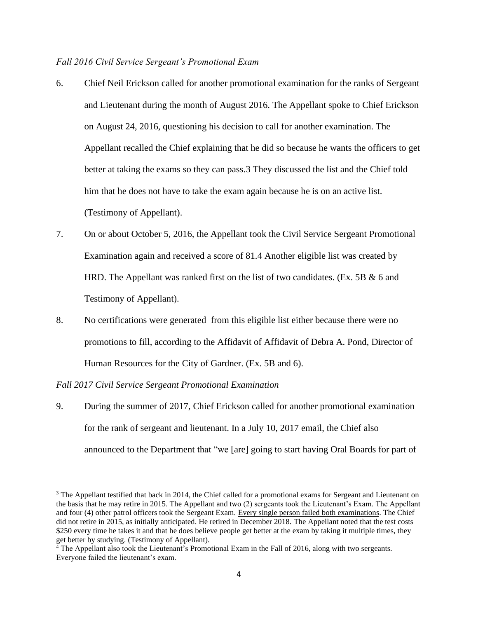# *Fall 2016 Civil Service Sergeant's Promotional Exam*

- 6. Chief Neil Erickson called for another promotional examination for the ranks of Sergeant and Lieutenant during the month of August 2016. The Appellant spoke to Chief Erickson on August 24, 2016, questioning his decision to call for another examination. The Appellant recalled the Chief explaining that he did so because he wants the officers to get better at taking the exams so they can pass.3 They discussed the list and the Chief told him that he does not have to take the exam again because he is on an active list. (Testimony of Appellant).
- 7. On or about October 5, 2016, the Appellant took the Civil Service Sergeant Promotional Examination again and received a score of 81.4 Another eligible list was created by HRD. The Appellant was ranked first on the list of two candidates. (Ex. 5B & 6 and Testimony of Appellant).
- 8. No certifications were generated from this eligible list either because there were no promotions to fill, according to the Affidavit of Affidavit of Debra A. Pond, Director of Human Resources for the City of Gardner. (Ex. 5B and 6).

## *Fall 2017 Civil Service Sergeant Promotional Examination*

9. During the summer of 2017, Chief Erickson called for another promotional examination for the rank of sergeant and lieutenant. In a July 10, 2017 email, the Chief also announced to the Department that "we [are] going to start having Oral Boards for part of

<sup>&</sup>lt;sup>3</sup> The Appellant testified that back in 2014, the Chief called for a promotional exams for Sergeant and Lieutenant on the basis that he may retire in 2015. The Appellant and two (2) sergeants took the Lieutenant's Exam. The Appellant and four (4) other patrol officers took the Sergeant Exam. Every single person failed both examinations. The Chief did not retire in 2015, as initially anticipated. He retired in December 2018. The Appellant noted that the test costs \$250 every time he takes it and that he does believe people get better at the exam by taking it multiple times, they get better by studying. (Testimony of Appellant).

<sup>&</sup>lt;sup>4</sup> The Appellant also took the Lieutenant's Promotional Exam in the Fall of 2016, along with two sergeants. Everyone failed the lieutenant's exam.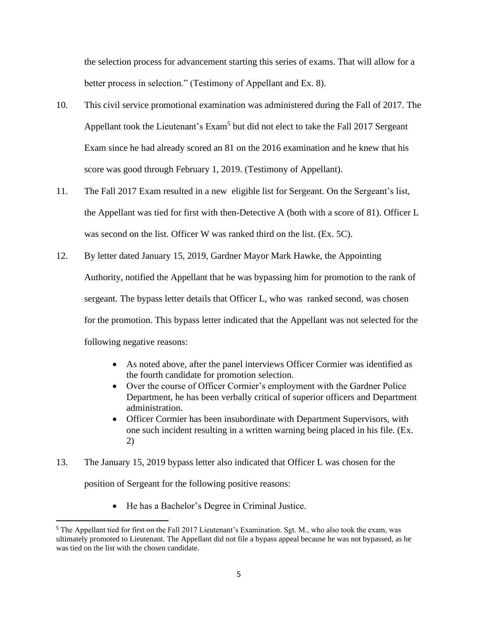the selection process for advancement starting this series of exams. That will allow for a better process in selection." (Testimony of Appellant and Ex. 8).

- 10. This civil service promotional examination was administered during the Fall of 2017. The Appellant took the Lieutenant's Exam<sup>5</sup> but did not elect to take the Fall 2017 Sergeant Exam since he had already scored an 81 on the 2016 examination and he knew that his score was good through February 1, 2019. (Testimony of Appellant).
- 11. The Fall 2017 Exam resulted in a new eligible list for Sergeant. On the Sergeant's list, the Appellant was tied for first with then-Detective A (both with a score of 81). Officer L was second on the list. Officer W was ranked third on the list. (Ex. 5C).
- 12. By letter dated January 15, 2019, Gardner Mayor Mark Hawke, the Appointing Authority, notified the Appellant that he was bypassing him for promotion to the rank of sergeant. The bypass letter details that Officer L, who was ranked second, was chosen for the promotion. This bypass letter indicated that the Appellant was not selected for the following negative reasons:
	- As noted above, after the panel interviews Officer Cormier was identified as the fourth candidate for promotion selection.
	- Over the course of Officer Cormier's employment with the Gardner Police Department, he has been verbally critical of superior officers and Department administration.
	- Officer Cormier has been insubordinate with Department Supervisors, with one such incident resulting in a written warning being placed in his file. (Ex. 2)
- 13. The January 15, 2019 bypass letter also indicated that Officer L was chosen for the position of Sergeant for the following positive reasons:
	- He has a Bachelor's Degree in Criminal Justice.

<sup>5</sup> The Appellant tied for first on the Fall 2017 Lieutenant's Examination. Sgt. M., who also took the exam, was ultimately promoted to Lieutenant. The Appellant did not file a bypass appeal because he was not bypassed, as he was tied on the list with the chosen candidate.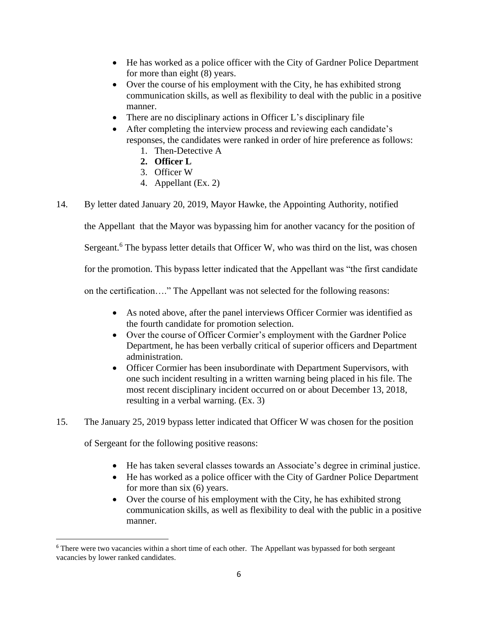- He has worked as a police officer with the City of Gardner Police Department for more than eight (8) years.
- Over the course of his employment with the City, he has exhibited strong communication skills, as well as flexibility to deal with the public in a positive manner.
- There are no disciplinary actions in Officer L's disciplinary file
- After completing the interview process and reviewing each candidate's responses, the candidates were ranked in order of hire preference as follows:
	- 1. Then-Detective A
	- **2. Officer L**
	- 3. Officer W
	- 4. Appellant (Ex. 2)
- 14. By letter dated January 20, 2019, Mayor Hawke, the Appointing Authority, notified

the Appellant that the Mayor was bypassing him for another vacancy for the position of

Sergeant.<sup>6</sup> The bypass letter details that Officer W, who was third on the list, was chosen

for the promotion. This bypass letter indicated that the Appellant was "the first candidate

on the certification…." The Appellant was not selected for the following reasons:

- As noted above, after the panel interviews Officer Cormier was identified as the fourth candidate for promotion selection.
- Over the course of Officer Cormier's employment with the Gardner Police Department, he has been verbally critical of superior officers and Department administration.
- Officer Cormier has been insubordinate with Department Supervisors, with one such incident resulting in a written warning being placed in his file. The most recent disciplinary incident occurred on or about December 13, 2018, resulting in a verbal warning. (Ex. 3)
- 15. The January 25, 2019 bypass letter indicated that Officer W was chosen for the position

of Sergeant for the following positive reasons:

- He has taken several classes towards an Associate's degree in criminal justice.
- He has worked as a police officer with the City of Gardner Police Department for more than six (6) years.
- Over the course of his employment with the City, he has exhibited strong communication skills, as well as flexibility to deal with the public in a positive manner.

<sup>&</sup>lt;sup>6</sup> There were two vacancies within a short time of each other. The Appellant was bypassed for both sergeant vacancies by lower ranked candidates.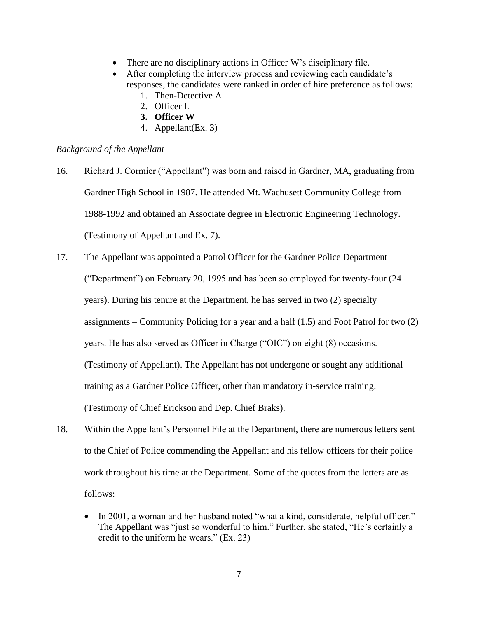- There are no disciplinary actions in Officer W's disciplinary file.
- After completing the interview process and reviewing each candidate's responses, the candidates were ranked in order of hire preference as follows:
	- 1. Then-Detective A
	- 2. Officer L
	- **3. Officer W**
	- 4. Appellant(Ex. 3)

# *Background of the Appellant*

- 16. Richard J. Cormier ("Appellant") was born and raised in Gardner, MA, graduating from Gardner High School in 1987. He attended Mt. Wachusett Community College from 1988-1992 and obtained an Associate degree in Electronic Engineering Technology. (Testimony of Appellant and Ex. 7).
- 17. The Appellant was appointed a Patrol Officer for the Gardner Police Department ("Department") on February 20, 1995 and has been so employed for twenty-four (24 years). During his tenure at the Department, he has served in two (2) specialty assignments – Community Policing for a year and a half (1.5) and Foot Patrol for two (2) years. He has also served as Officer in Charge ("OIC") on eight (8) occasions. (Testimony of Appellant). The Appellant has not undergone or sought any additional training as a Gardner Police Officer, other than mandatory in-service training. (Testimony of Chief Erickson and Dep. Chief Braks).
- 18. Within the Appellant's Personnel File at the Department, there are numerous letters sent to the Chief of Police commending the Appellant and his fellow officers for their police work throughout his time at the Department. Some of the quotes from the letters are as follows:
	- In 2001, a woman and her husband noted "what a kind, considerate, helpful officer." The Appellant was "just so wonderful to him." Further, she stated, "He's certainly a credit to the uniform he wears." (Ex. 23)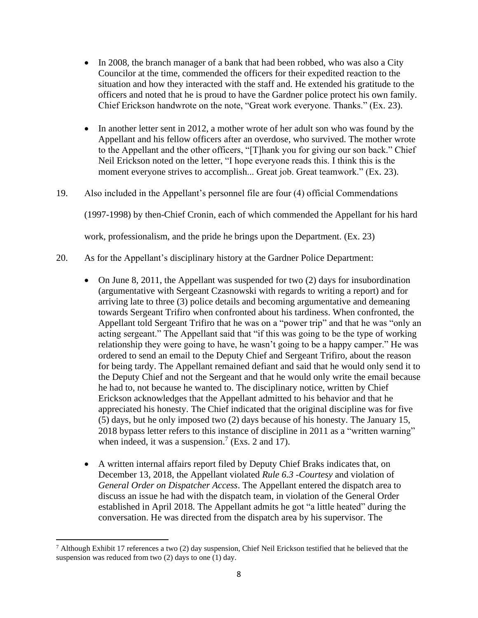- In 2008, the branch manager of a bank that had been robbed, who was also a City Councilor at the time, commended the officers for their expedited reaction to the situation and how they interacted with the staff and. He extended his gratitude to the officers and noted that he is proud to have the Gardner police protect his own family. Chief Erickson handwrote on the note, "Great work everyone. Thanks." (Ex. 23).
- In another letter sent in 2012, a mother wrote of her adult son who was found by the Appellant and his fellow officers after an overdose, who survived. The mother wrote to the Appellant and the other officers, "[T]hank you for giving our son back." Chief Neil Erickson noted on the letter, "I hope everyone reads this. I think this is the moment everyone strives to accomplish... Great job. Great teamwork." (Ex. 23).
- 19. Also included in the Appellant's personnel file are four (4) official Commendations

(1997-1998) by then-Chief Cronin, each of which commended the Appellant for his hard

work, professionalism, and the pride he brings upon the Department. (Ex. 23)

- 20. As for the Appellant's disciplinary history at the Gardner Police Department:
	- On June 8, 2011, the Appellant was suspended for two (2) days for insubordination (argumentative with Sergeant Czasnowski with regards to writing a report) and for arriving late to three (3) police details and becoming argumentative and demeaning towards Sergeant Trifiro when confronted about his tardiness. When confronted, the Appellant told Sergeant Trifiro that he was on a "power trip" and that he was "only an acting sergeant." The Appellant said that "if this was going to be the type of working relationship they were going to have, he wasn't going to be a happy camper." He was ordered to send an email to the Deputy Chief and Sergeant Trifiro, about the reason for being tardy. The Appellant remained defiant and said that he would only send it to the Deputy Chief and not the Sergeant and that he would only write the email because he had to, not because he wanted to. The disciplinary notice, written by Chief Erickson acknowledges that the Appellant admitted to his behavior and that he appreciated his honesty. The Chief indicated that the original discipline was for five (5) days, but he only imposed two (2) days because of his honesty. The January 15, 2018 bypass letter refers to this instance of discipline in 2011 as a "written warning" when indeed, it was a suspension.<sup>7</sup> (Exs. 2 and 17).
	- A written internal affairs report filed by Deputy Chief Braks indicates that, on December 13, 2018, the Appellant violated *Rule 6.3* -*Courtesy* and violation of *General Order on Dispatcher Access*. The Appellant entered the dispatch area to discuss an issue he had with the dispatch team, in violation of the General Order established in April 2018. The Appellant admits he got "a little heated" during the conversation. He was directed from the dispatch area by his supervisor. The

<sup>7</sup> Although Exhibit 17 references a two (2) day suspension, Chief Neil Erickson testified that he believed that the suspension was reduced from two (2) days to one (1) day.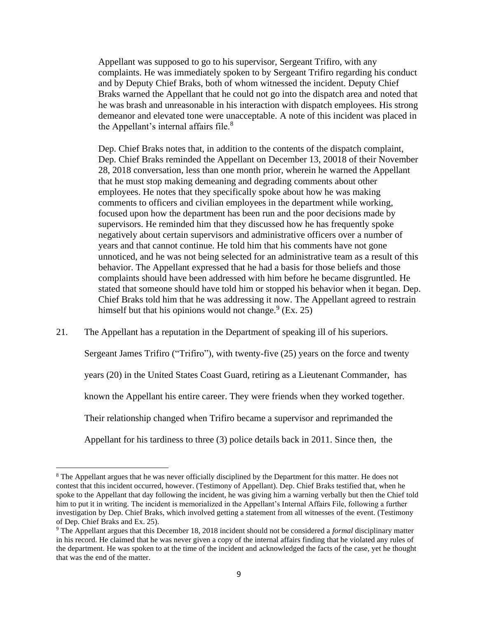Appellant was supposed to go to his supervisor, Sergeant Trifiro, with any complaints. He was immediately spoken to by Sergeant Trifiro regarding his conduct and by Deputy Chief Braks, both of whom witnessed the incident. Deputy Chief Braks warned the Appellant that he could not go into the dispatch area and noted that he was brash and unreasonable in his interaction with dispatch employees. His strong demeanor and elevated tone were unacceptable. A note of this incident was placed in the Appellant's internal affairs file. $8<sup>8</sup>$ 

Dep. Chief Braks notes that, in addition to the contents of the dispatch complaint, Dep. Chief Braks reminded the Appellant on December 13, 20018 of their November 28, 2018 conversation, less than one month prior, wherein he warned the Appellant that he must stop making demeaning and degrading comments about other employees. He notes that they specifically spoke about how he was making comments to officers and civilian employees in the department while working, focused upon how the department has been run and the poor decisions made by supervisors. He reminded him that they discussed how he has frequently spoke negatively about certain supervisors and administrative officers over a number of years and that cannot continue. He told him that his comments have not gone unnoticed, and he was not being selected for an administrative team as a result of this behavior. The Appellant expressed that he had a basis for those beliefs and those complaints should have been addressed with him before he became disgruntled. He stated that someone should have told him or stopped his behavior when it began. Dep. Chief Braks told him that he was addressing it now. The Appellant agreed to restrain himself but that his opinions would not change. $9$  (Ex. 25)

21. The Appellant has a reputation in the Department of speaking ill of his superiors.

Sergeant James Trifiro ("Trifiro"), with twenty-five (25) years on the force and twenty years (20) in the United States Coast Guard, retiring as a Lieutenant Commander, has known the Appellant his entire career. They were friends when they worked together. Their relationship changed when Trifiro became a supervisor and reprimanded the Appellant for his tardiness to three (3) police details back in 2011. Since then, the

<sup>&</sup>lt;sup>8</sup> The Appellant argues that he was never officially disciplined by the Department for this matter. He does not contest that this incident occurred, however. (Testimony of Appellant). Dep. Chief Braks testified that, when he spoke to the Appellant that day following the incident, he was giving him a warning verbally but then the Chief told him to put it in writing. The incident is memorialized in the Appellant's Internal Affairs File, following a further investigation by Dep. Chief Braks, which involved getting a statement from all witnesses of the event. (Testimony of Dep. Chief Braks and Ex. 25).

<sup>9</sup> The Appellant argues that this December 18, 2018 incident should not be considered a *formal* disciplinary matter in his record. He claimed that he was never given a copy of the internal affairs finding that he violated any rules of the department. He was spoken to at the time of the incident and acknowledged the facts of the case, yet he thought that was the end of the matter.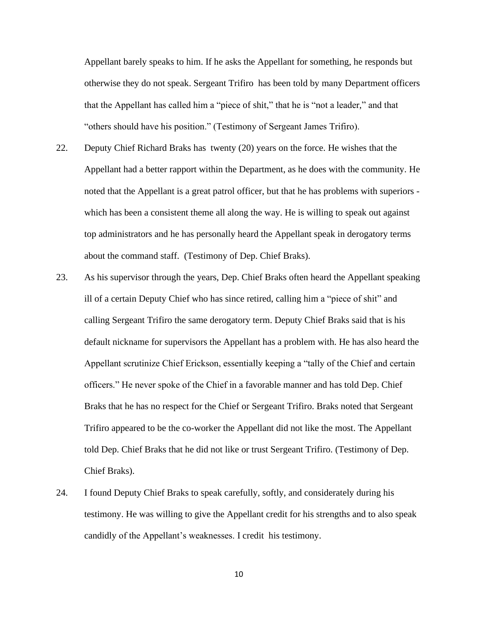Appellant barely speaks to him. If he asks the Appellant for something, he responds but otherwise they do not speak. Sergeant Trifiro has been told by many Department officers that the Appellant has called him a "piece of shit," that he is "not a leader," and that "others should have his position." (Testimony of Sergeant James Trifiro).

- 22. Deputy Chief Richard Braks has twenty (20) years on the force. He wishes that the Appellant had a better rapport within the Department, as he does with the community. He noted that the Appellant is a great patrol officer, but that he has problems with superiors which has been a consistent theme all along the way. He is willing to speak out against top administrators and he has personally heard the Appellant speak in derogatory terms about the command staff. (Testimony of Dep. Chief Braks).
- 23. As his supervisor through the years, Dep. Chief Braks often heard the Appellant speaking ill of a certain Deputy Chief who has since retired, calling him a "piece of shit" and calling Sergeant Trifiro the same derogatory term. Deputy Chief Braks said that is his default nickname for supervisors the Appellant has a problem with. He has also heard the Appellant scrutinize Chief Erickson, essentially keeping a "tally of the Chief and certain officers." He never spoke of the Chief in a favorable manner and has told Dep. Chief Braks that he has no respect for the Chief or Sergeant Trifiro. Braks noted that Sergeant Trifiro appeared to be the co-worker the Appellant did not like the most. The Appellant told Dep. Chief Braks that he did not like or trust Sergeant Trifiro. (Testimony of Dep. Chief Braks).
- 24. I found Deputy Chief Braks to speak carefully, softly, and considerately during his testimony. He was willing to give the Appellant credit for his strengths and to also speak candidly of the Appellant's weaknesses. I credit his testimony.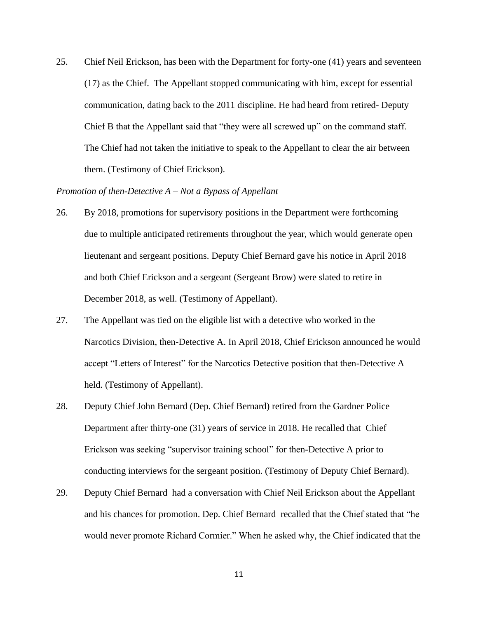25. Chief Neil Erickson, has been with the Department for forty-one (41) years and seventeen (17) as the Chief. The Appellant stopped communicating with him, except for essential communication, dating back to the 2011 discipline. He had heard from retired- Deputy Chief B that the Appellant said that "they were all screwed up" on the command staff. The Chief had not taken the initiative to speak to the Appellant to clear the air between them. (Testimony of Chief Erickson).

## *Promotion of then-Detective A – Not a Bypass of Appellant*

- 26. By 2018, promotions for supervisory positions in the Department were forthcoming due to multiple anticipated retirements throughout the year, which would generate open lieutenant and sergeant positions. Deputy Chief Bernard gave his notice in April 2018 and both Chief Erickson and a sergeant (Sergeant Brow) were slated to retire in December 2018, as well. (Testimony of Appellant).
- 27. The Appellant was tied on the eligible list with a detective who worked in the Narcotics Division, then-Detective A. In April 2018, Chief Erickson announced he would accept "Letters of Interest" for the Narcotics Detective position that then-Detective A held. (Testimony of Appellant).
- 28. Deputy Chief John Bernard (Dep. Chief Bernard) retired from the Gardner Police Department after thirty-one (31) years of service in 2018. He recalled that Chief Erickson was seeking "supervisor training school" for then-Detective A prior to conducting interviews for the sergeant position. (Testimony of Deputy Chief Bernard).
- 29. Deputy Chief Bernard had a conversation with Chief Neil Erickson about the Appellant and his chances for promotion. Dep. Chief Bernard recalled that the Chief stated that "he would never promote Richard Cormier." When he asked why, the Chief indicated that the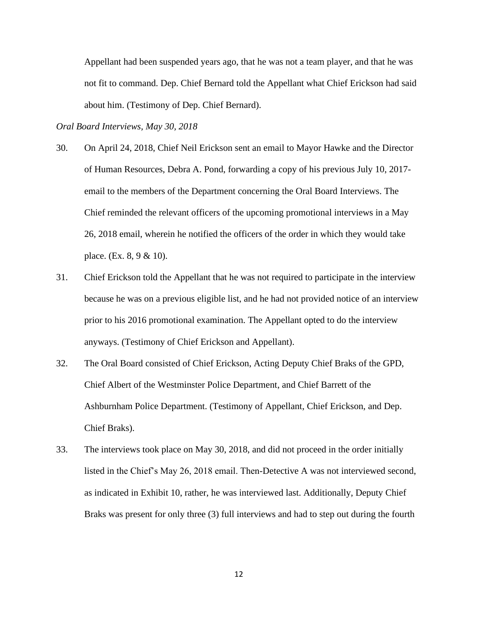Appellant had been suspended years ago, that he was not a team player, and that he was not fit to command. Dep. Chief Bernard told the Appellant what Chief Erickson had said about him. (Testimony of Dep. Chief Bernard).

*Oral Board Interviews, May 30, 2018*

- 30. On April 24, 2018, Chief Neil Erickson sent an email to Mayor Hawke and the Director of Human Resources, Debra A. Pond, forwarding a copy of his previous July 10, 2017 email to the members of the Department concerning the Oral Board Interviews. The Chief reminded the relevant officers of the upcoming promotional interviews in a May 26, 2018 email, wherein he notified the officers of the order in which they would take place. (Ex. 8, 9 & 10).
- 31. Chief Erickson told the Appellant that he was not required to participate in the interview because he was on a previous eligible list, and he had not provided notice of an interview prior to his 2016 promotional examination. The Appellant opted to do the interview anyways. (Testimony of Chief Erickson and Appellant).
- 32. The Oral Board consisted of Chief Erickson, Acting Deputy Chief Braks of the GPD, Chief Albert of the Westminster Police Department, and Chief Barrett of the Ashburnham Police Department. (Testimony of Appellant, Chief Erickson, and Dep. Chief Braks).
- 33. The interviews took place on May 30, 2018, and did not proceed in the order initially listed in the Chief's May 26, 2018 email. Then-Detective A was not interviewed second, as indicated in Exhibit 10, rather, he was interviewed last. Additionally, Deputy Chief Braks was present for only three (3) full interviews and had to step out during the fourth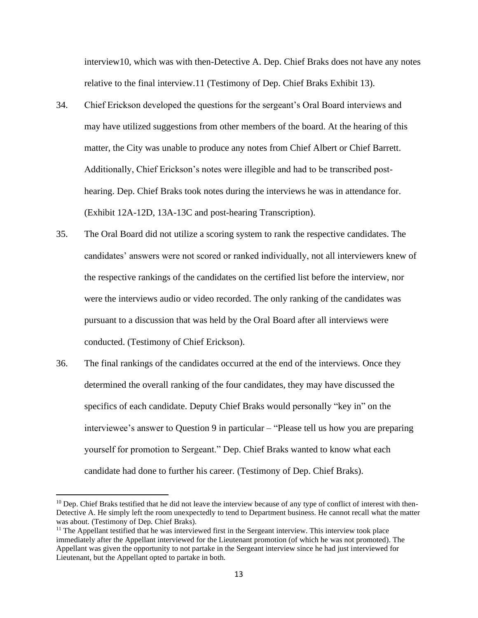interview10, which was with then-Detective A. Dep. Chief Braks does not have any notes relative to the final interview.11 (Testimony of Dep. Chief Braks Exhibit 13).

- 34. Chief Erickson developed the questions for the sergeant's Oral Board interviews and may have utilized suggestions from other members of the board. At the hearing of this matter, the City was unable to produce any notes from Chief Albert or Chief Barrett. Additionally, Chief Erickson's notes were illegible and had to be transcribed posthearing. Dep. Chief Braks took notes during the interviews he was in attendance for. (Exhibit 12A-12D, 13A-13C and post-hearing Transcription).
- 35. The Oral Board did not utilize a scoring system to rank the respective candidates. The candidates' answers were not scored or ranked individually, not all interviewers knew of the respective rankings of the candidates on the certified list before the interview, nor were the interviews audio or video recorded. The only ranking of the candidates was pursuant to a discussion that was held by the Oral Board after all interviews were conducted. (Testimony of Chief Erickson).
- 36. The final rankings of the candidates occurred at the end of the interviews. Once they determined the overall ranking of the four candidates, they may have discussed the specifics of each candidate. Deputy Chief Braks would personally "key in" on the interviewee's answer to Question 9 in particular – "Please tell us how you are preparing yourself for promotion to Sergeant." Dep. Chief Braks wanted to know what each candidate had done to further his career. (Testimony of Dep. Chief Braks).

 $10$  Dep. Chief Braks testified that he did not leave the interview because of any type of conflict of interest with then-Detective A. He simply left the room unexpectedly to tend to Department business. He cannot recall what the matter was about. (Testimony of Dep. Chief Braks).

<sup>&</sup>lt;sup>11</sup> The Appellant testified that he was interviewed first in the Sergeant interview. This interview took place immediately after the Appellant interviewed for the Lieutenant promotion (of which he was not promoted). The Appellant was given the opportunity to not partake in the Sergeant interview since he had just interviewed for Lieutenant, but the Appellant opted to partake in both.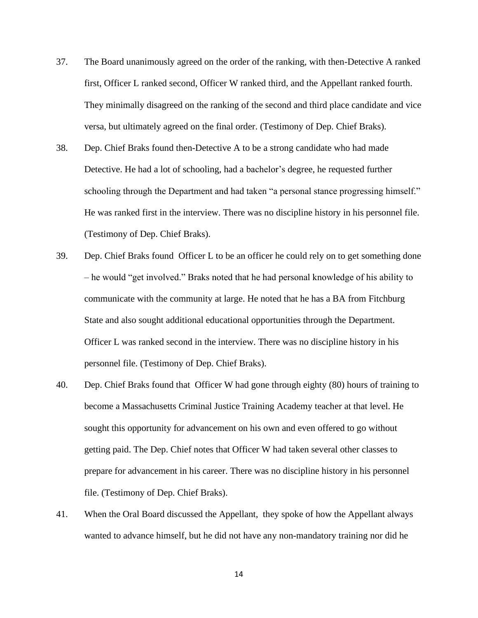- 37. The Board unanimously agreed on the order of the ranking, with then-Detective A ranked first, Officer L ranked second, Officer W ranked third, and the Appellant ranked fourth. They minimally disagreed on the ranking of the second and third place candidate and vice versa, but ultimately agreed on the final order. (Testimony of Dep. Chief Braks).
- 38. Dep. Chief Braks found then-Detective A to be a strong candidate who had made Detective. He had a lot of schooling, had a bachelor's degree, he requested further schooling through the Department and had taken "a personal stance progressing himself." He was ranked first in the interview. There was no discipline history in his personnel file. (Testimony of Dep. Chief Braks).
- 39. Dep. Chief Braks found Officer L to be an officer he could rely on to get something done – he would "get involved." Braks noted that he had personal knowledge of his ability to communicate with the community at large. He noted that he has a BA from Fitchburg State and also sought additional educational opportunities through the Department. Officer L was ranked second in the interview. There was no discipline history in his personnel file. (Testimony of Dep. Chief Braks).
- 40. Dep. Chief Braks found that Officer W had gone through eighty (80) hours of training to become a Massachusetts Criminal Justice Training Academy teacher at that level. He sought this opportunity for advancement on his own and even offered to go without getting paid. The Dep. Chief notes that Officer W had taken several other classes to prepare for advancement in his career. There was no discipline history in his personnel file. (Testimony of Dep. Chief Braks).
- 41. When the Oral Board discussed the Appellant, they spoke of how the Appellant always wanted to advance himself, but he did not have any non-mandatory training nor did he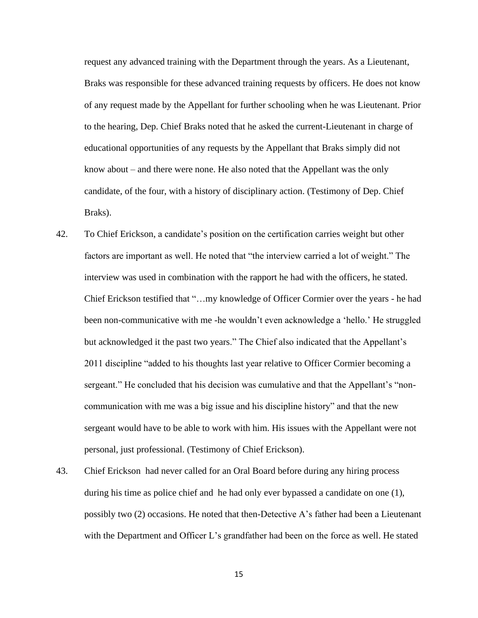request any advanced training with the Department through the years. As a Lieutenant, Braks was responsible for these advanced training requests by officers. He does not know of any request made by the Appellant for further schooling when he was Lieutenant. Prior to the hearing, Dep. Chief Braks noted that he asked the current-Lieutenant in charge of educational opportunities of any requests by the Appellant that Braks simply did not know about – and there were none. He also noted that the Appellant was the only candidate, of the four, with a history of disciplinary action. (Testimony of Dep. Chief Braks).

- 42. To Chief Erickson, a candidate's position on the certification carries weight but other factors are important as well. He noted that "the interview carried a lot of weight." The interview was used in combination with the rapport he had with the officers, he stated. Chief Erickson testified that "…my knowledge of Officer Cormier over the years - he had been non-communicative with me -he wouldn't even acknowledge a 'hello.' He struggled but acknowledged it the past two years." The Chief also indicated that the Appellant's 2011 discipline "added to his thoughts last year relative to Officer Cormier becoming a sergeant." He concluded that his decision was cumulative and that the Appellant's "noncommunication with me was a big issue and his discipline history" and that the new sergeant would have to be able to work with him. His issues with the Appellant were not personal, just professional. (Testimony of Chief Erickson).
- 43. Chief Erickson had never called for an Oral Board before during any hiring process during his time as police chief and he had only ever bypassed a candidate on one (1), possibly two (2) occasions. He noted that then-Detective A's father had been a Lieutenant with the Department and Officer L's grandfather had been on the force as well. He stated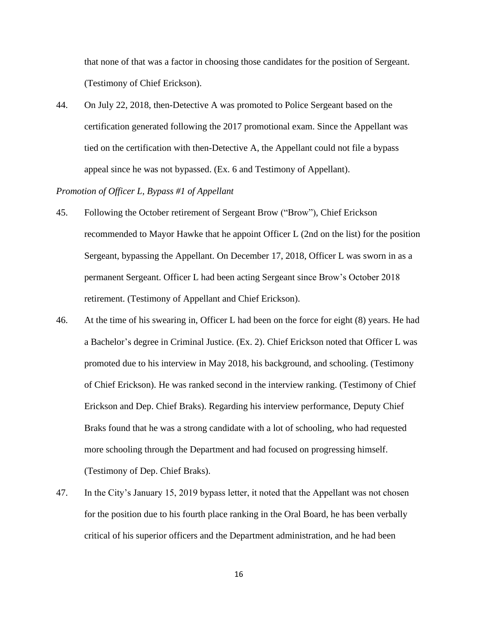that none of that was a factor in choosing those candidates for the position of Sergeant. (Testimony of Chief Erickson).

44. On July 22, 2018, then-Detective A was promoted to Police Sergeant based on the certification generated following the 2017 promotional exam. Since the Appellant was tied on the certification with then-Detective A, the Appellant could not file a bypass appeal since he was not bypassed. (Ex. 6 and Testimony of Appellant).

## *Promotion of Officer L, Bypass #1 of Appellant*

- 45. Following the October retirement of Sergeant Brow ("Brow"), Chief Erickson recommended to Mayor Hawke that he appoint Officer L (2nd on the list) for the position Sergeant, bypassing the Appellant. On December 17, 2018, Officer L was sworn in as a permanent Sergeant. Officer L had been acting Sergeant since Brow's October 2018 retirement. (Testimony of Appellant and Chief Erickson).
- 46. At the time of his swearing in, Officer L had been on the force for eight (8) years. He had a Bachelor's degree in Criminal Justice. (Ex. 2). Chief Erickson noted that Officer L was promoted due to his interview in May 2018, his background, and schooling. (Testimony of Chief Erickson). He was ranked second in the interview ranking. (Testimony of Chief Erickson and Dep. Chief Braks). Regarding his interview performance, Deputy Chief Braks found that he was a strong candidate with a lot of schooling, who had requested more schooling through the Department and had focused on progressing himself. (Testimony of Dep. Chief Braks).
- 47. In the City's January 15, 2019 bypass letter, it noted that the Appellant was not chosen for the position due to his fourth place ranking in the Oral Board, he has been verbally critical of his superior officers and the Department administration, and he had been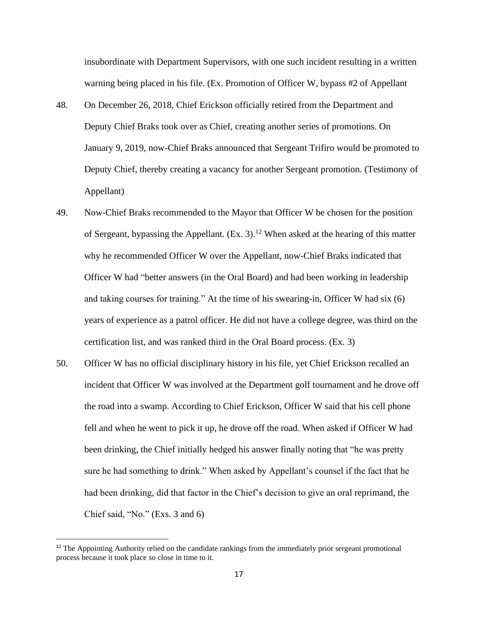insubordinate with Department Supervisors, with one such incident resulting in a written warning being placed in his file. (Ex. Promotion of Officer W, bypass #2 of Appellant

- 48. On December 26, 2018, Chief Erickson officially retired from the Department and Deputy Chief Braks took over as Chief, creating another series of promotions. On January 9, 2019, now-Chief Braks announced that Sergeant Trifiro would be promoted to Deputy Chief, thereby creating a vacancy for another Sergeant promotion. (Testimony of Appellant)
- 49. Now-Chief Braks recommended to the Mayor that Officer W be chosen for the position of Sergeant, bypassing the Appellant.  $(Ex. 3)$ .<sup>12</sup> When asked at the hearing of this matter why he recommended Officer W over the Appellant, now-Chief Braks indicated that Officer W had "better answers (in the Oral Board) and had been working in leadership and taking courses for training." At the time of his swearing-in, Officer W had six (6) years of experience as a patrol officer. He did not have a college degree, was third on the certification list, and was ranked third in the Oral Board process. (Ex. 3)
- 50. Officer W has no official disciplinary history in his file, yet Chief Erickson recalled an incident that Officer W was involved at the Department golf tournament and he drove off the road into a swamp. According to Chief Erickson, Officer W said that his cell phone fell and when he went to pick it up, he drove off the road. When asked if Officer W had been drinking, the Chief initially hedged his answer finally noting that "he was pretty sure he had something to drink." When asked by Appellant's counsel if the fact that he had been drinking, did that factor in the Chief's decision to give an oral reprimand, the Chief said, "No." (Exs. 3 and 6)

<sup>&</sup>lt;sup>12</sup> The Appointing Authority relied on the candidate rankings from the immediately prior sergeant promotional process because it took place so close in time to it.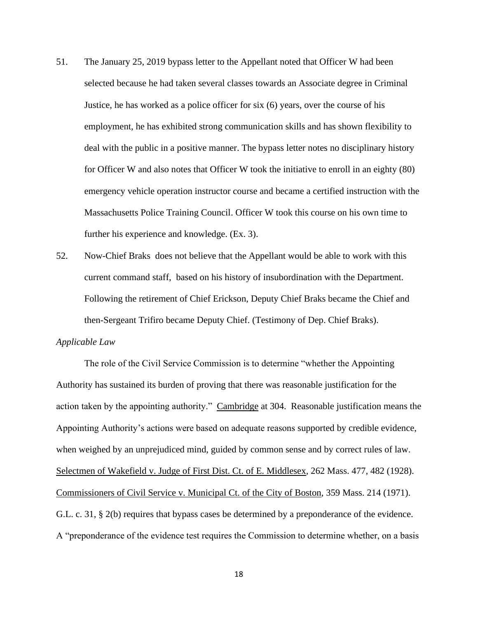- 51. The January 25, 2019 bypass letter to the Appellant noted that Officer W had been selected because he had taken several classes towards an Associate degree in Criminal Justice, he has worked as a police officer for six (6) years, over the course of his employment, he has exhibited strong communication skills and has shown flexibility to deal with the public in a positive manner. The bypass letter notes no disciplinary history for Officer W and also notes that Officer W took the initiative to enroll in an eighty (80) emergency vehicle operation instructor course and became a certified instruction with the Massachusetts Police Training Council. Officer W took this course on his own time to further his experience and knowledge. (Ex. 3).
- 52. Now-Chief Braks does not believe that the Appellant would be able to work with this current command staff, based on his history of insubordination with the Department. Following the retirement of Chief Erickson, Deputy Chief Braks became the Chief and then-Sergeant Trifiro became Deputy Chief. (Testimony of Dep. Chief Braks).

#### *Applicable Law*

The role of the Civil Service Commission is to determine "whether the Appointing Authority has sustained its burden of proving that there was reasonable justification for the action taken by the appointing authority." Cambridge at 304. Reasonable justification means the Appointing Authority's actions were based on adequate reasons supported by credible evidence, when weighed by an unprejudiced mind, guided by common sense and by correct rules of law. Selectmen of Wakefield v. Judge of First Dist. Ct. of E. Middlesex, 262 Mass. 477, 482 (1928). Commissioners of Civil Service v. Municipal Ct. of the City of Boston, 359 Mass. 214 (1971). G.L. c. 31, § 2(b) requires that bypass cases be determined by a preponderance of the evidence. A "preponderance of the evidence test requires the Commission to determine whether, on a basis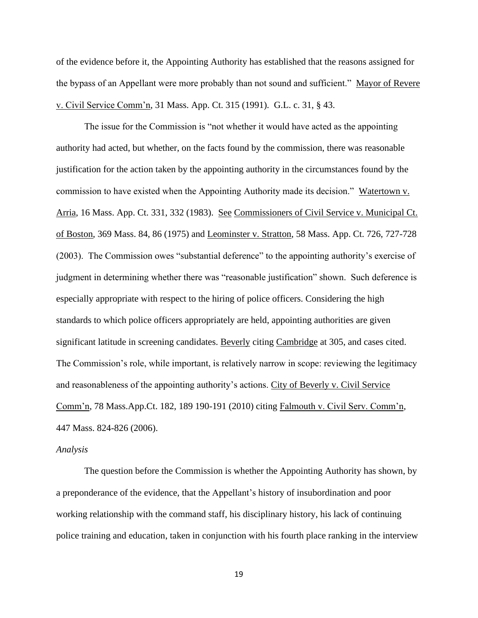of the evidence before it, the Appointing Authority has established that the reasons assigned for the bypass of an Appellant were more probably than not sound and sufficient." Mayor of Revere v. Civil Service Comm'n, 31 Mass. App. Ct. 315 (1991). G.L. c. 31, § 43.

The issue for the Commission is "not whether it would have acted as the appointing authority had acted, but whether, on the facts found by the commission, there was reasonable justification for the action taken by the appointing authority in the circumstances found by the commission to have existed when the Appointing Authority made its decision." Watertown v. Arria, 16 Mass. App. Ct. 331, 332 (1983). See Commissioners of Civil Service v. Municipal Ct. of Boston, 369 Mass. 84, 86 (1975) and Leominster v. Stratton, 58 Mass. App. Ct. 726, 727-728 (2003). The Commission owes "substantial deference" to the appointing authority's exercise of judgment in determining whether there was "reasonable justification" shown. Such deference is especially appropriate with respect to the hiring of police officers. Considering the high standards to which police officers appropriately are held, appointing authorities are given significant latitude in screening candidates. Beverly citing Cambridge at 305, and cases cited. The Commission's role, while important, is relatively narrow in scope: reviewing the legitimacy and reasonableness of the appointing authority's actions. City of Beverly v. Civil Service Comm'n, 78 Mass.App.Ct. 182, 189 190-191 (2010) citing Falmouth v. Civil Serv. Comm'n, 447 Mass. 824-826 (2006).

#### *Analysis*

The question before the Commission is whether the Appointing Authority has shown, by a preponderance of the evidence, that the Appellant's history of insubordination and poor working relationship with the command staff, his disciplinary history, his lack of continuing police training and education, taken in conjunction with his fourth place ranking in the interview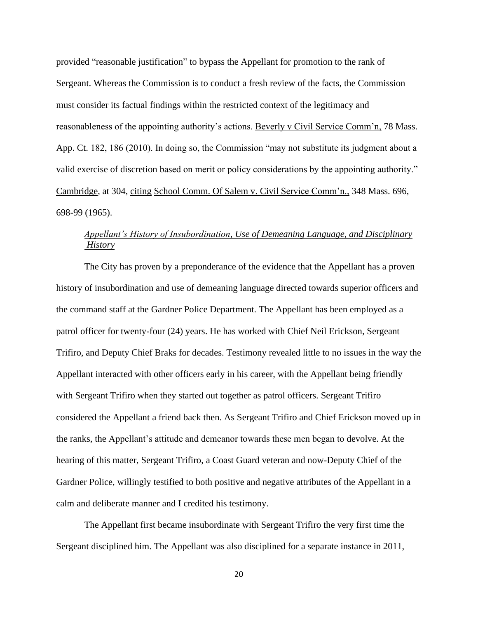provided "reasonable justification" to bypass the Appellant for promotion to the rank of Sergeant. Whereas the Commission is to conduct a fresh review of the facts, the Commission must consider its factual findings within the restricted context of the legitimacy and reasonableness of the appointing authority's actions. Beverly v Civil Service Comm'n, 78 Mass. App. Ct. 182, 186 (2010). In doing so, the Commission "may not substitute its judgment about a valid exercise of discretion based on merit or policy considerations by the appointing authority." Cambridge, at 304, citing School Comm. Of Salem v. Civil Service Comm'n., 348 Mass. 696, 698-99 (1965).

# *Appellant's History of Insubordination, Use of Demeaning Language, and Disciplinary History*

The City has proven by a preponderance of the evidence that the Appellant has a proven history of insubordination and use of demeaning language directed towards superior officers and the command staff at the Gardner Police Department. The Appellant has been employed as a patrol officer for twenty-four (24) years. He has worked with Chief Neil Erickson, Sergeant Trifiro, and Deputy Chief Braks for decades. Testimony revealed little to no issues in the way the Appellant interacted with other officers early in his career, with the Appellant being friendly with Sergeant Trifiro when they started out together as patrol officers. Sergeant Trifiro considered the Appellant a friend back then. As Sergeant Trifiro and Chief Erickson moved up in the ranks, the Appellant's attitude and demeanor towards these men began to devolve. At the hearing of this matter, Sergeant Trifiro, a Coast Guard veteran and now-Deputy Chief of the Gardner Police, willingly testified to both positive and negative attributes of the Appellant in a calm and deliberate manner and I credited his testimony.

The Appellant first became insubordinate with Sergeant Trifiro the very first time the Sergeant disciplined him. The Appellant was also disciplined for a separate instance in 2011,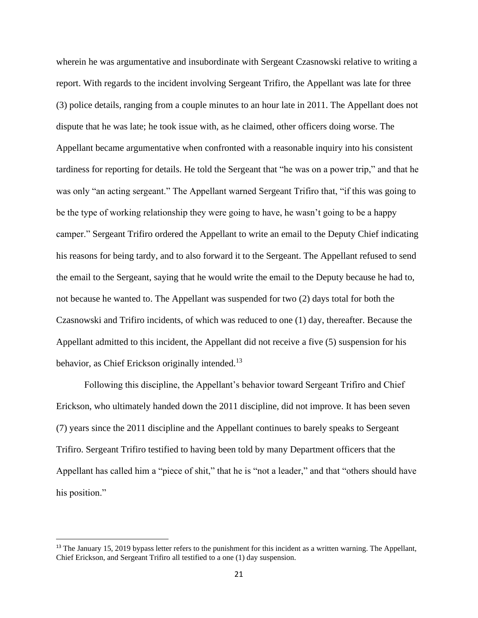wherein he was argumentative and insubordinate with Sergeant Czasnowski relative to writing a report. With regards to the incident involving Sergeant Trifiro, the Appellant was late for three (3) police details, ranging from a couple minutes to an hour late in 2011. The Appellant does not dispute that he was late; he took issue with, as he claimed, other officers doing worse. The Appellant became argumentative when confronted with a reasonable inquiry into his consistent tardiness for reporting for details. He told the Sergeant that "he was on a power trip," and that he was only "an acting sergeant." The Appellant warned Sergeant Trifiro that, "if this was going to be the type of working relationship they were going to have, he wasn't going to be a happy camper." Sergeant Trifiro ordered the Appellant to write an email to the Deputy Chief indicating his reasons for being tardy, and to also forward it to the Sergeant. The Appellant refused to send the email to the Sergeant, saying that he would write the email to the Deputy because he had to, not because he wanted to. The Appellant was suspended for two (2) days total for both the Czasnowski and Trifiro incidents, of which was reduced to one (1) day, thereafter. Because the Appellant admitted to this incident, the Appellant did not receive a five (5) suspension for his behavior, as Chief Erickson originally intended.<sup>13</sup>

Following this discipline, the Appellant's behavior toward Sergeant Trifiro and Chief Erickson, who ultimately handed down the 2011 discipline, did not improve. It has been seven (7) years since the 2011 discipline and the Appellant continues to barely speaks to Sergeant Trifiro. Sergeant Trifiro testified to having been told by many Department officers that the Appellant has called him a "piece of shit," that he is "not a leader," and that "others should have his position."

<sup>&</sup>lt;sup>13</sup> The January 15, 2019 bypass letter refers to the punishment for this incident as a written warning. The Appellant, Chief Erickson, and Sergeant Trifiro all testified to a one (1) day suspension.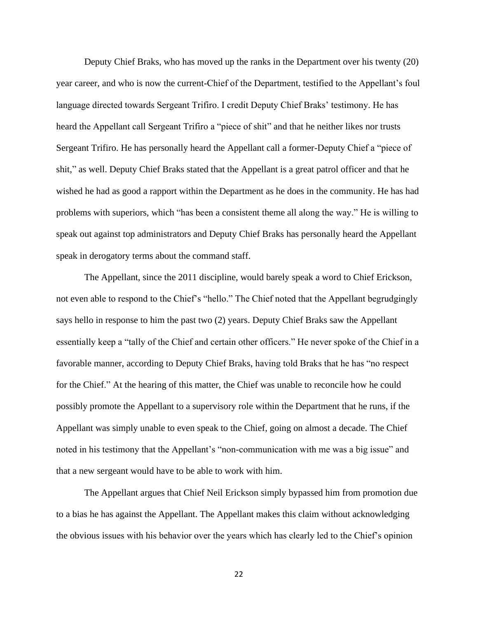Deputy Chief Braks, who has moved up the ranks in the Department over his twenty (20) year career, and who is now the current-Chief of the Department, testified to the Appellant's foul language directed towards Sergeant Trifiro. I credit Deputy Chief Braks' testimony. He has heard the Appellant call Sergeant Trifiro a "piece of shit" and that he neither likes nor trusts Sergeant Trifiro. He has personally heard the Appellant call a former-Deputy Chief a "piece of shit," as well. Deputy Chief Braks stated that the Appellant is a great patrol officer and that he wished he had as good a rapport within the Department as he does in the community. He has had problems with superiors, which "has been a consistent theme all along the way." He is willing to speak out against top administrators and Deputy Chief Braks has personally heard the Appellant speak in derogatory terms about the command staff.

The Appellant, since the 2011 discipline, would barely speak a word to Chief Erickson, not even able to respond to the Chief's "hello." The Chief noted that the Appellant begrudgingly says hello in response to him the past two (2) years. Deputy Chief Braks saw the Appellant essentially keep a "tally of the Chief and certain other officers." He never spoke of the Chief in a favorable manner, according to Deputy Chief Braks, having told Braks that he has "no respect for the Chief." At the hearing of this matter, the Chief was unable to reconcile how he could possibly promote the Appellant to a supervisory role within the Department that he runs, if the Appellant was simply unable to even speak to the Chief, going on almost a decade. The Chief noted in his testimony that the Appellant's "non-communication with me was a big issue" and that a new sergeant would have to be able to work with him.

The Appellant argues that Chief Neil Erickson simply bypassed him from promotion due to a bias he has against the Appellant. The Appellant makes this claim without acknowledging the obvious issues with his behavior over the years which has clearly led to the Chief's opinion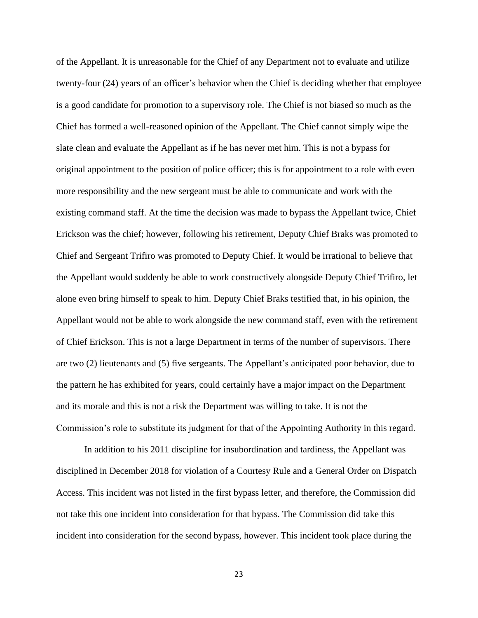of the Appellant. It is unreasonable for the Chief of any Department not to evaluate and utilize twenty-four (24) years of an officer's behavior when the Chief is deciding whether that employee is a good candidate for promotion to a supervisory role. The Chief is not biased so much as the Chief has formed a well-reasoned opinion of the Appellant. The Chief cannot simply wipe the slate clean and evaluate the Appellant as if he has never met him. This is not a bypass for original appointment to the position of police officer; this is for appointment to a role with even more responsibility and the new sergeant must be able to communicate and work with the existing command staff. At the time the decision was made to bypass the Appellant twice, Chief Erickson was the chief; however, following his retirement, Deputy Chief Braks was promoted to Chief and Sergeant Trifiro was promoted to Deputy Chief. It would be irrational to believe that the Appellant would suddenly be able to work constructively alongside Deputy Chief Trifiro, let alone even bring himself to speak to him. Deputy Chief Braks testified that, in his opinion, the Appellant would not be able to work alongside the new command staff, even with the retirement of Chief Erickson. This is not a large Department in terms of the number of supervisors. There are two (2) lieutenants and (5) five sergeants. The Appellant's anticipated poor behavior, due to the pattern he has exhibited for years, could certainly have a major impact on the Department and its morale and this is not a risk the Department was willing to take. It is not the Commission's role to substitute its judgment for that of the Appointing Authority in this regard.

In addition to his 2011 discipline for insubordination and tardiness, the Appellant was disciplined in December 2018 for violation of a Courtesy Rule and a General Order on Dispatch Access. This incident was not listed in the first bypass letter, and therefore, the Commission did not take this one incident into consideration for that bypass. The Commission did take this incident into consideration for the second bypass, however. This incident took place during the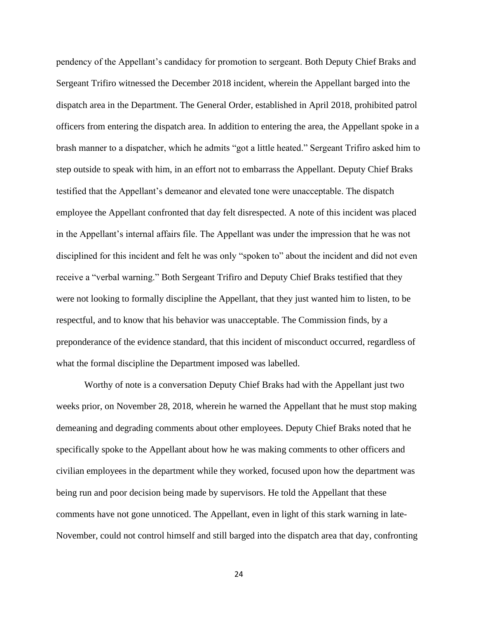pendency of the Appellant's candidacy for promotion to sergeant. Both Deputy Chief Braks and Sergeant Trifiro witnessed the December 2018 incident, wherein the Appellant barged into the dispatch area in the Department. The General Order, established in April 2018, prohibited patrol officers from entering the dispatch area. In addition to entering the area, the Appellant spoke in a brash manner to a dispatcher, which he admits "got a little heated." Sergeant Trifiro asked him to step outside to speak with him, in an effort not to embarrass the Appellant. Deputy Chief Braks testified that the Appellant's demeanor and elevated tone were unacceptable. The dispatch employee the Appellant confronted that day felt disrespected. A note of this incident was placed in the Appellant's internal affairs file. The Appellant was under the impression that he was not disciplined for this incident and felt he was only "spoken to" about the incident and did not even receive a "verbal warning." Both Sergeant Trifiro and Deputy Chief Braks testified that they were not looking to formally discipline the Appellant, that they just wanted him to listen, to be respectful, and to know that his behavior was unacceptable. The Commission finds, by a preponderance of the evidence standard, that this incident of misconduct occurred, regardless of what the formal discipline the Department imposed was labelled.

Worthy of note is a conversation Deputy Chief Braks had with the Appellant just two weeks prior, on November 28, 2018, wherein he warned the Appellant that he must stop making demeaning and degrading comments about other employees. Deputy Chief Braks noted that he specifically spoke to the Appellant about how he was making comments to other officers and civilian employees in the department while they worked, focused upon how the department was being run and poor decision being made by supervisors. He told the Appellant that these comments have not gone unnoticed. The Appellant, even in light of this stark warning in late-November, could not control himself and still barged into the dispatch area that day, confronting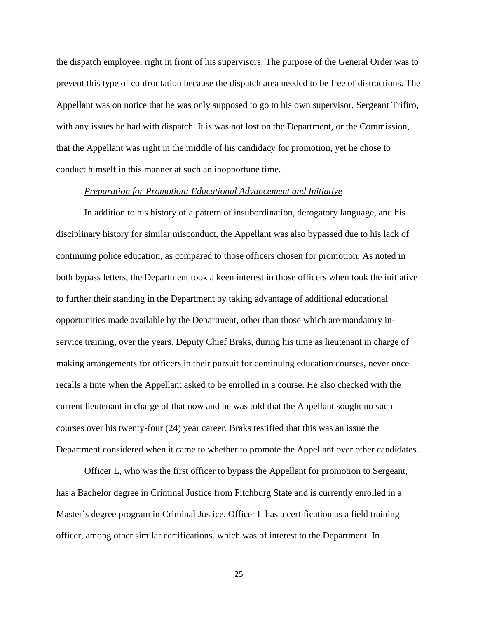the dispatch employee, right in front of his supervisors. The purpose of the General Order was to prevent this type of confrontation because the dispatch area needed to be free of distractions. The Appellant was on notice that he was only supposed to go to his own supervisor, Sergeant Trifiro, with any issues he had with dispatch. It is was not lost on the Department, or the Commission, that the Appellant was right in the middle of his candidacy for promotion, yet he chose to conduct himself in this manner at such an inopportune time.

#### *Preparation for Promotion; Educational Advancement and Initiative*

In addition to his history of a pattern of insubordination, derogatory language, and his disciplinary history for similar misconduct, the Appellant was also bypassed due to his lack of continuing police education, as compared to those officers chosen for promotion. As noted in both bypass letters, the Department took a keen interest in those officers when took the initiative to further their standing in the Department by taking advantage of additional educational opportunities made available by the Department, other than those which are mandatory inservice training, over the years. Deputy Chief Braks, during his time as lieutenant in charge of making arrangements for officers in their pursuit for continuing education courses, never once recalls a time when the Appellant asked to be enrolled in a course. He also checked with the current lieutenant in charge of that now and he was told that the Appellant sought no such courses over his twenty-four (24) year career. Braks testified that this was an issue the Department considered when it came to whether to promote the Appellant over other candidates.

Officer L, who was the first officer to bypass the Appellant for promotion to Sergeant, has a Bachelor degree in Criminal Justice from Fitchburg State and is currently enrolled in a Master's degree program in Criminal Justice. Officer L has a certification as a field training officer, among other similar certifications. which was of interest to the Department. In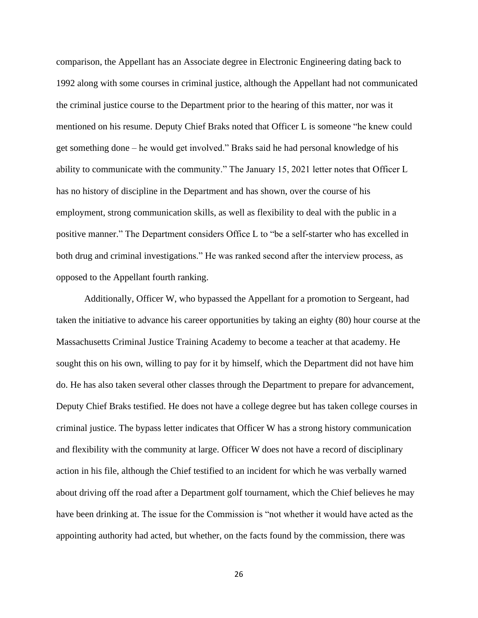comparison, the Appellant has an Associate degree in Electronic Engineering dating back to 1992 along with some courses in criminal justice, although the Appellant had not communicated the criminal justice course to the Department prior to the hearing of this matter, nor was it mentioned on his resume. Deputy Chief Braks noted that Officer L is someone "he knew could get something done – he would get involved." Braks said he had personal knowledge of his ability to communicate with the community." The January 15, 2021 letter notes that Officer L has no history of discipline in the Department and has shown, over the course of his employment, strong communication skills, as well as flexibility to deal with the public in a positive manner." The Department considers Office L to "be a self-starter who has excelled in both drug and criminal investigations." He was ranked second after the interview process, as opposed to the Appellant fourth ranking.

Additionally, Officer W, who bypassed the Appellant for a promotion to Sergeant, had taken the initiative to advance his career opportunities by taking an eighty (80) hour course at the Massachusetts Criminal Justice Training Academy to become a teacher at that academy. He sought this on his own, willing to pay for it by himself, which the Department did not have him do. He has also taken several other classes through the Department to prepare for advancement, Deputy Chief Braks testified. He does not have a college degree but has taken college courses in criminal justice. The bypass letter indicates that Officer W has a strong history communication and flexibility with the community at large. Officer W does not have a record of disciplinary action in his file, although the Chief testified to an incident for which he was verbally warned about driving off the road after a Department golf tournament, which the Chief believes he may have been drinking at. The issue for the Commission is "not whether it would have acted as the appointing authority had acted, but whether, on the facts found by the commission, there was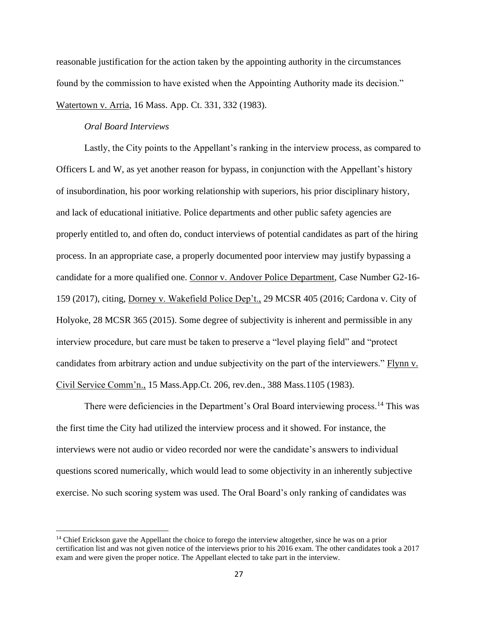reasonable justification for the action taken by the appointing authority in the circumstances found by the commission to have existed when the Appointing Authority made its decision." Watertown v. Arria, 16 Mass. App. Ct. 331, 332 (1983).

## *Oral Board Interviews*

Lastly, the City points to the Appellant's ranking in the interview process, as compared to Officers L and W, as yet another reason for bypass, in conjunction with the Appellant's history of insubordination, his poor working relationship with superiors, his prior disciplinary history, and lack of educational initiative. Police departments and other public safety agencies are properly entitled to, and often do, conduct interviews of potential candidates as part of the hiring process. In an appropriate case, a properly documented poor interview may justify bypassing a candidate for a more qualified one. Connor v. Andover Police Department, Case Number G2-16- 159 (2017), citing, Dorney v. Wakefield Police Dep't., 29 MCSR 405 (2016; Cardona v. City of Holyoke, 28 MCSR 365 (2015). Some degree of subjectivity is inherent and permissible in any interview procedure, but care must be taken to preserve a "level playing field" and "protect candidates from arbitrary action and undue subjectivity on the part of the interviewers." Flynn v. Civil Service Comm'n., 15 Mass.App.Ct. 206, rev.den., 388 Mass.1105 (1983).

There were deficiencies in the Department's Oral Board interviewing process.<sup>14</sup> This was the first time the City had utilized the interview process and it showed. For instance, the interviews were not audio or video recorded nor were the candidate's answers to individual questions scored numerically, which would lead to some objectivity in an inherently subjective exercise. No such scoring system was used. The Oral Board's only ranking of candidates was

<sup>&</sup>lt;sup>14</sup> Chief Erickson gave the Appellant the choice to forego the interview altogether, since he was on a prior certification list and was not given notice of the interviews prior to his 2016 exam. The other candidates took a 2017 exam and were given the proper notice. The Appellant elected to take part in the interview.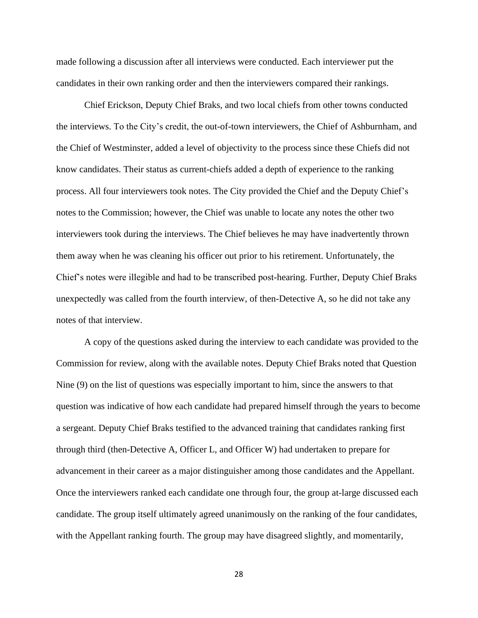made following a discussion after all interviews were conducted. Each interviewer put the candidates in their own ranking order and then the interviewers compared their rankings.

Chief Erickson, Deputy Chief Braks, and two local chiefs from other towns conducted the interviews. To the City's credit, the out-of-town interviewers, the Chief of Ashburnham, and the Chief of Westminster, added a level of objectivity to the process since these Chiefs did not know candidates. Their status as current-chiefs added a depth of experience to the ranking process. All four interviewers took notes. The City provided the Chief and the Deputy Chief's notes to the Commission; however, the Chief was unable to locate any notes the other two interviewers took during the interviews. The Chief believes he may have inadvertently thrown them away when he was cleaning his officer out prior to his retirement. Unfortunately, the Chief's notes were illegible and had to be transcribed post-hearing. Further, Deputy Chief Braks unexpectedly was called from the fourth interview, of then-Detective A, so he did not take any notes of that interview.

A copy of the questions asked during the interview to each candidate was provided to the Commission for review, along with the available notes. Deputy Chief Braks noted that Question Nine (9) on the list of questions was especially important to him, since the answers to that question was indicative of how each candidate had prepared himself through the years to become a sergeant. Deputy Chief Braks testified to the advanced training that candidates ranking first through third (then-Detective A, Officer L, and Officer W) had undertaken to prepare for advancement in their career as a major distinguisher among those candidates and the Appellant. Once the interviewers ranked each candidate one through four, the group at-large discussed each candidate. The group itself ultimately agreed unanimously on the ranking of the four candidates, with the Appellant ranking fourth. The group may have disagreed slightly, and momentarily,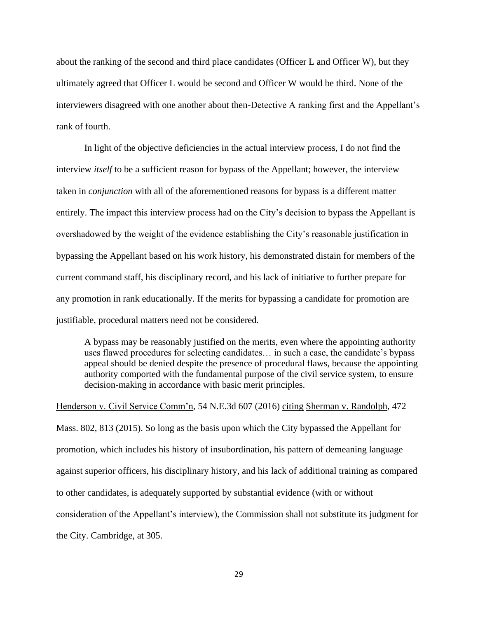about the ranking of the second and third place candidates (Officer L and Officer W), but they ultimately agreed that Officer L would be second and Officer W would be third. None of the interviewers disagreed with one another about then-Detective A ranking first and the Appellant's rank of fourth.

In light of the objective deficiencies in the actual interview process, I do not find the interview *itself* to be a sufficient reason for bypass of the Appellant; however, the interview taken in *conjunction* with all of the aforementioned reasons for bypass is a different matter entirely. The impact this interview process had on the City's decision to bypass the Appellant is overshadowed by the weight of the evidence establishing the City's reasonable justification in bypassing the Appellant based on his work history, his demonstrated distain for members of the current command staff, his disciplinary record, and his lack of initiative to further prepare for any promotion in rank educationally. If the merits for bypassing a candidate for promotion are justifiable, procedural matters need not be considered.

A bypass may be reasonably justified on the merits, even where the appointing authority uses flawed procedures for selecting candidates… in such a case, the candidate's bypass appeal should be denied despite the presence of procedural flaws, because the appointing authority comported with the fundamental purpose of the civil service system, to ensure decision-making in accordance with basic merit principles.

Henderson v. Civil Service Comm'n, 54 N.E.3d 607 (2016) citing Sherman v. Randolph, 472 Mass. 802, 813 (2015). So long as the basis upon which the City bypassed the Appellant for promotion, which includes his history of insubordination, his pattern of demeaning language against superior officers, his disciplinary history, and his lack of additional training as compared to other candidates, is adequately supported by substantial evidence (with or without consideration of the Appellant's interview), the Commission shall not substitute its judgment for the City. Cambridge, at 305.